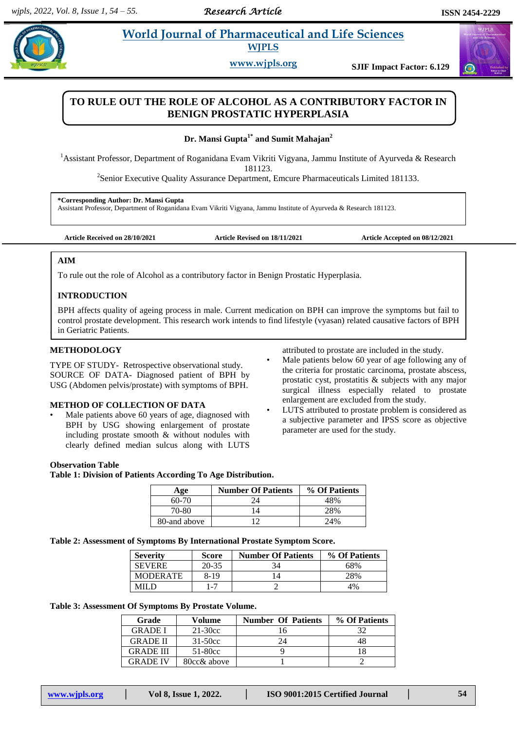# **Parademic Morld Journal of Pharmaceutical and Life Sciences WJPLS**

**www.wjpls.org SJIF Impact Factor: 6.129**



# **TO RULE OUT THE ROLE OF ALCOHOL AS A CONTRIBUTORY FACTOR IN BENIGN PROSTATIC HYPERPLASIA**

**Dr. Mansi Gupta1\* and Sumit Mahajan<sup>2</sup>**

<sup>1</sup>Assistant Professor, Department of Roganidana Evam Vikriti Vigyana, Jammu Institute of Ayurveda & Research

181123.

<sup>2</sup> Senior Executive Quality Assurance Department, Emcure Pharmaceuticals Limited 181133.

**\*Corresponding Author: Dr. Mansi Gupta**

Assistant Professor, Department of Roganidana Evam Vikriti Vigyana, Jammu Institute of Ayurveda & Research 181123.

**Article Received on 28/10/2021 Article Revised on 18/11/2021 Article Accepted on 08/12/2021**

## **AIM**

.

To rule out the role of Alcohol as a contributory factor in Benign Prostatic Hyperplasia.

# **INTRODUCTION**

BPH affects quality of ageing process in male. Current medication on BPH can improve the symptoms but fail to control prostate development. This research work intends to find lifestyle (vyasan) related causative factors of BPH in Geriatric Patients.

## **METHODOLOGY**

TYPE OF STUDY- Retrospective observational study. SOURCE OF DATA- Diagnosed patient of BPH by USG (Abdomen pelvis/prostate) with symptoms of BPH.

## **METHOD OF COLLECTION OF DATA**

- Male patients above 60 years of age, diagnosed with BPH by USG showing enlargement of prostate including prostate smooth & without nodules with clearly defined median sulcus along with LUTS
- attributed to prostate are included in the study.
- Male patients below 60 year of age following any of the criteria for prostatic carcinoma, prostate abscess, prostatic cyst, prostatitis & subjects with any major surgical illness especially related to prostate enlargement are excluded from the study.
- LUTS attributed to prostate problem is considered as a subjective parameter and IPSS score as objective parameter are used for the study.

#### **Observation Table**

**Table 1: Division of Patients According To Age Distribution.**

| Age          | <b>Number Of Patients</b> | % Of Patients |
|--------------|---------------------------|---------------|
| $60-70$      | 74                        | 48%           |
| 70-80        |                           | 28%           |
| 80-and above |                           | 2.4%          |

**Table 2: Assessment of Symptoms By International Prostate Symptom Score.**

| <b>Severity</b> | Score   | <b>Number Of Patients</b> | % Of Patients |
|-----------------|---------|---------------------------|---------------|
| <b>SEVERE</b>   | 20-35   |                           | 68%           |
| <b>MODERATE</b> | 8-19    |                           | 28%           |
|                 | $1 - 7$ |                           | 4%            |

**Table 3: Assessment Of Symptoms By Prostate Volume.**

| Grade            | Volume      | <b>Number Of Patients</b> | % Of Patients |
|------------------|-------------|---------------------------|---------------|
| <b>GRADE I</b>   | $21-30cc$   |                           |               |
| <b>GRADE II</b>  | $31 - 50cc$ | 24                        |               |
| <b>GRADE III</b> | $51-80cc$   |                           |               |
| <b>GRADE IV</b>  | 80cc& above |                           |               |